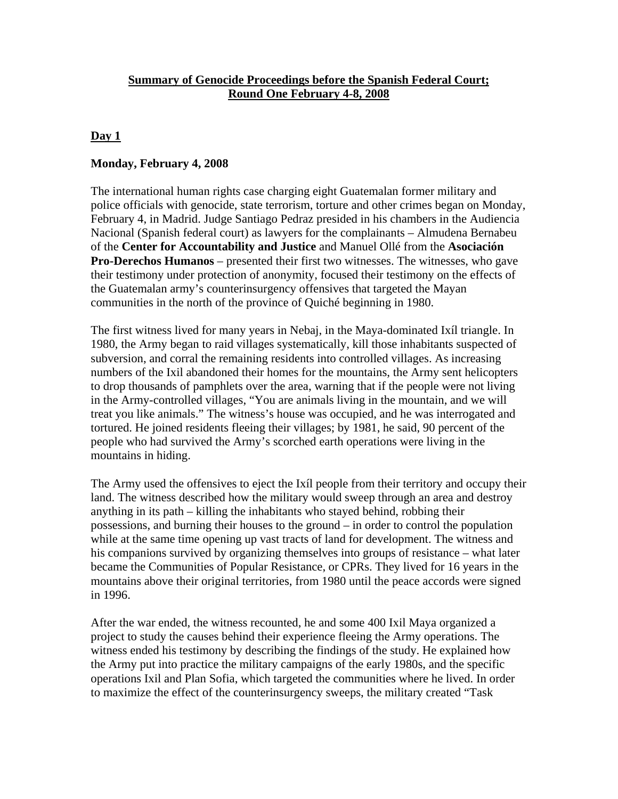## **Summary of Genocide Proceedings before the Spanish Federal Court; Round One February 4-8, 2008**

## **Day 1**

### **Monday, February 4, 2008**

The international human rights case charging eight Guatemalan former military and police officials with genocide, state terrorism, torture and other crimes began on Monday, February 4, in Madrid. Judge Santiago Pedraz presided in his chambers in the Audiencia Nacional (Spanish federal court) as lawyers for the complainants – Almudena Bernabeu of the **Center for Accountability and Justice** and Manuel Ollé from the **Asociación Pro-Derechos Humanos** – presented their first two witnesses. The witnesses, who gave their testimony under protection of anonymity, focused their testimony on the effects of the Guatemalan army's counterinsurgency offensives that targeted the Mayan communities in the north of the province of Quiché beginning in 1980.

The first witness lived for many years in Nebaj, in the Maya-dominated Ixíl triangle. In 1980, the Army began to raid villages systematically, kill those inhabitants suspected of subversion, and corral the remaining residents into controlled villages. As increasing numbers of the Ixil abandoned their homes for the mountains, the Army sent helicopters to drop thousands of pamphlets over the area, warning that if the people were not living in the Army-controlled villages, "You are animals living in the mountain, and we will treat you like animals." The witness's house was occupied, and he was interrogated and tortured. He joined residents fleeing their villages; by 1981, he said, 90 percent of the people who had survived the Army's scorched earth operations were living in the mountains in hiding.

The Army used the offensives to eject the Ixíl people from their territory and occupy their land. The witness described how the military would sweep through an area and destroy anything in its path – killing the inhabitants who stayed behind, robbing their possessions, and burning their houses to the ground – in order to control the population while at the same time opening up vast tracts of land for development. The witness and his companions survived by organizing themselves into groups of resistance – what later became the Communities of Popular Resistance, or CPRs. They lived for 16 years in the mountains above their original territories, from 1980 until the peace accords were signed in 1996.

After the war ended, the witness recounted, he and some 400 Ixil Maya organized a project to study the causes behind their experience fleeing the Army operations. The witness ended his testimony by describing the findings of the study. He explained how the Army put into practice the military campaigns of the early 1980s, and the specific operations Ixil and Plan Sofia, which targeted the communities where he lived. In order to maximize the effect of the counterinsurgency sweeps, the military created "Task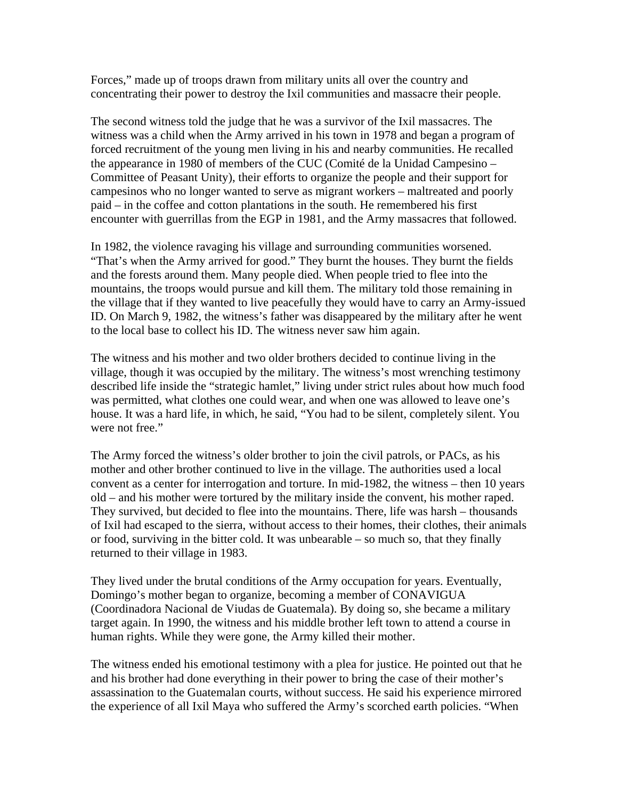Forces," made up of troops drawn from military units all over the country and concentrating their power to destroy the Ixil communities and massacre their people.

The second witness told the judge that he was a survivor of the Ixil massacres. The witness was a child when the Army arrived in his town in 1978 and began a program of forced recruitment of the young men living in his and nearby communities. He recalled the appearance in 1980 of members of the CUC (Comité de la Unidad Campesino – Committee of Peasant Unity), their efforts to organize the people and their support for campesinos who no longer wanted to serve as migrant workers – maltreated and poorly paid – in the coffee and cotton plantations in the south. He remembered his first encounter with guerrillas from the EGP in 1981, and the Army massacres that followed.

In 1982, the violence ravaging his village and surrounding communities worsened. "That's when the Army arrived for good." They burnt the houses. They burnt the fields and the forests around them. Many people died. When people tried to flee into the mountains, the troops would pursue and kill them. The military told those remaining in the village that if they wanted to live peacefully they would have to carry an Army-issued ID. On March 9, 1982, the witness's father was disappeared by the military after he went to the local base to collect his ID. The witness never saw him again.

The witness and his mother and two older brothers decided to continue living in the village, though it was occupied by the military. The witness's most wrenching testimony described life inside the "strategic hamlet," living under strict rules about how much food was permitted, what clothes one could wear, and when one was allowed to leave one's house. It was a hard life, in which, he said, "You had to be silent, completely silent. You were not free."

The Army forced the witness's older brother to join the civil patrols, or PACs, as his mother and other brother continued to live in the village. The authorities used a local convent as a center for interrogation and torture. In mid-1982, the witness – then 10 years old – and his mother were tortured by the military inside the convent, his mother raped. They survived, but decided to flee into the mountains. There, life was harsh – thousands of Ixil had escaped to the sierra, without access to their homes, their clothes, their animals or food, surviving in the bitter cold. It was unbearable – so much so, that they finally returned to their village in 1983.

They lived under the brutal conditions of the Army occupation for years. Eventually, Domingo's mother began to organize, becoming a member of CONAVIGUA (Coordinadora Nacional de Viudas de Guatemala). By doing so, she became a military target again. In 1990, the witness and his middle brother left town to attend a course in human rights. While they were gone, the Army killed their mother.

The witness ended his emotional testimony with a plea for justice. He pointed out that he and his brother had done everything in their power to bring the case of their mother's assassination to the Guatemalan courts, without success. He said his experience mirrored the experience of all Ixil Maya who suffered the Army's scorched earth policies. "When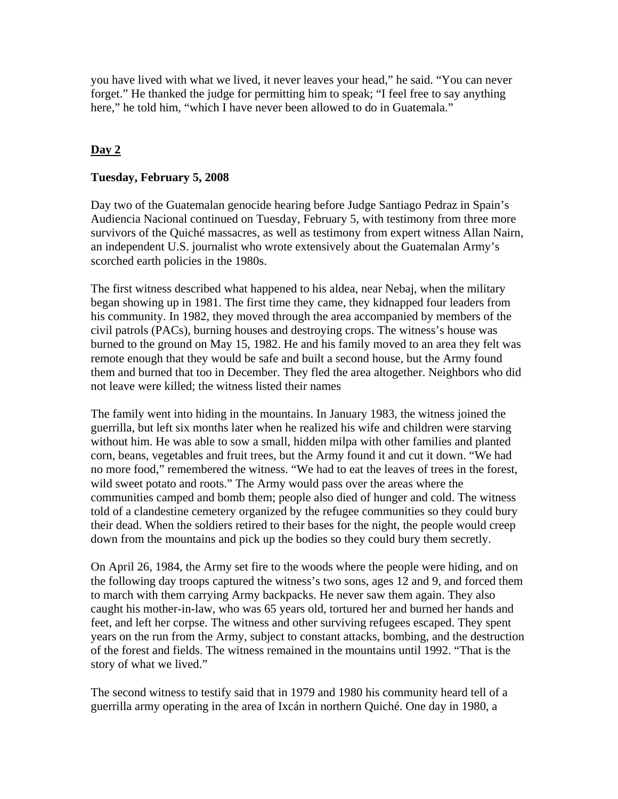you have lived with what we lived, it never leaves your head," he said. "You can never forget." He thanked the judge for permitting him to speak; "I feel free to say anything here," he told him, "which I have never been allowed to do in Guatemala."

# **Day 2**

## **Tuesday, February 5, 2008**

Day two of the Guatemalan genocide hearing before Judge Santiago Pedraz in Spain's Audiencia Nacional continued on Tuesday, February 5, with testimony from three more survivors of the Quiché massacres, as well as testimony from expert witness Allan Nairn, an independent U.S. journalist who wrote extensively about the Guatemalan Army's scorched earth policies in the 1980s.

The first witness described what happened to his aldea, near Nebaj, when the military began showing up in 1981. The first time they came, they kidnapped four leaders from his community. In 1982, they moved through the area accompanied by members of the civil patrols (PACs), burning houses and destroying crops. The witness's house was burned to the ground on May 15, 1982. He and his family moved to an area they felt was remote enough that they would be safe and built a second house, but the Army found them and burned that too in December. They fled the area altogether. Neighbors who did not leave were killed; the witness listed their names

The family went into hiding in the mountains. In January 1983, the witness joined the guerrilla, but left six months later when he realized his wife and children were starving without him. He was able to sow a small, hidden milpa with other families and planted corn, beans, vegetables and fruit trees, but the Army found it and cut it down. "We had no more food," remembered the witness. "We had to eat the leaves of trees in the forest, wild sweet potato and roots." The Army would pass over the areas where the communities camped and bomb them; people also died of hunger and cold. The witness told of a clandestine cemetery organized by the refugee communities so they could bury their dead. When the soldiers retired to their bases for the night, the people would creep down from the mountains and pick up the bodies so they could bury them secretly.

On April 26, 1984, the Army set fire to the woods where the people were hiding, and on the following day troops captured the witness's two sons, ages 12 and 9, and forced them to march with them carrying Army backpacks. He never saw them again. They also caught his mother-in-law, who was 65 years old, tortured her and burned her hands and feet, and left her corpse. The witness and other surviving refugees escaped. They spent years on the run from the Army, subject to constant attacks, bombing, and the destruction of the forest and fields. The witness remained in the mountains until 1992. "That is the story of what we lived."

The second witness to testify said that in 1979 and 1980 his community heard tell of a guerrilla army operating in the area of Ixcán in northern Quiché. One day in 1980, a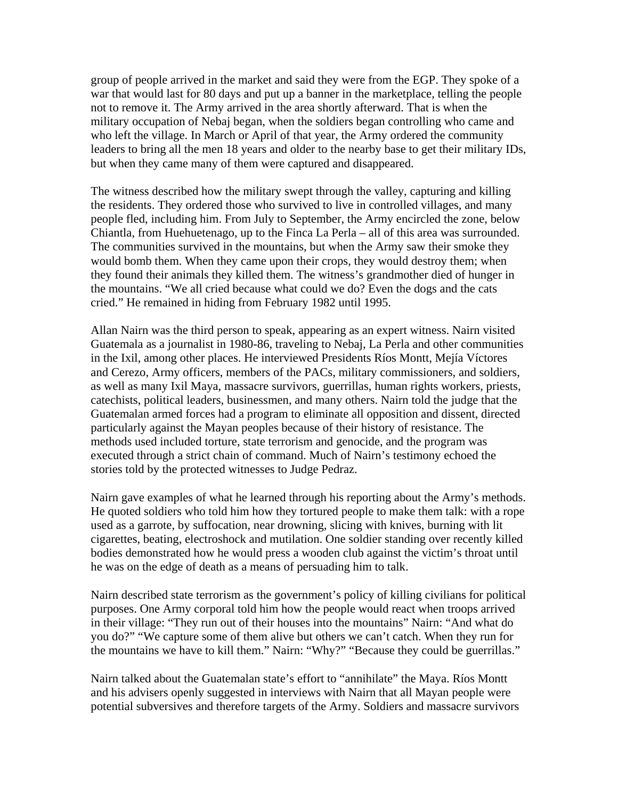group of people arrived in the market and said they were from the EGP. They spoke of a war that would last for 80 days and put up a banner in the marketplace, telling the people not to remove it. The Army arrived in the area shortly afterward. That is when the military occupation of Nebaj began, when the soldiers began controlling who came and who left the village. In March or April of that year, the Army ordered the community leaders to bring all the men 18 years and older to the nearby base to get their military IDs, but when they came many of them were captured and disappeared.

The witness described how the military swept through the valley, capturing and killing the residents. They ordered those who survived to live in controlled villages, and many people fled, including him. From July to September, the Army encircled the zone, below Chiantla, from Huehuetenago, up to the Finca La Perla – all of this area was surrounded. The communities survived in the mountains, but when the Army saw their smoke they would bomb them. When they came upon their crops, they would destroy them; when they found their animals they killed them. The witness's grandmother died of hunger in the mountains. "We all cried because what could we do? Even the dogs and the cats cried." He remained in hiding from February 1982 until 1995.

Allan Nairn was the third person to speak, appearing as an expert witness. Nairn visited Guatemala as a journalist in 1980-86, traveling to Nebaj, La Perla and other communities in the Ixil, among other places. He interviewed Presidents Ríos Montt, Mejía Víctores and Cerezo, Army officers, members of the PACs, military commissioners, and soldiers, as well as many Ixil Maya, massacre survivors, guerrillas, human rights workers, priests, catechists, political leaders, businessmen, and many others. Nairn told the judge that the Guatemalan armed forces had a program to eliminate all opposition and dissent, directed particularly against the Mayan peoples because of their history of resistance. The methods used included torture, state terrorism and genocide, and the program was executed through a strict chain of command. Much of Nairn's testimony echoed the stories told by the protected witnesses to Judge Pedraz.

Nairn gave examples of what he learned through his reporting about the Army's methods. He quoted soldiers who told him how they tortured people to make them talk: with a rope used as a garrote, by suffocation, near drowning, slicing with knives, burning with lit cigarettes, beating, electroshock and mutilation. One soldier standing over recently killed bodies demonstrated how he would press a wooden club against the victim's throat until he was on the edge of death as a means of persuading him to talk.

Nairn described state terrorism as the government's policy of killing civilians for political purposes. One Army corporal told him how the people would react when troops arrived in their village: "They run out of their houses into the mountains" Nairn: "And what do you do?" "We capture some of them alive but others we can't catch. When they run for the mountains we have to kill them." Nairn: "Why?" "Because they could be guerrillas."

Nairn talked about the Guatemalan state's effort to "annihilate" the Maya. Ríos Montt and his advisers openly suggested in interviews with Nairn that all Mayan people were potential subversives and therefore targets of the Army. Soldiers and massacre survivors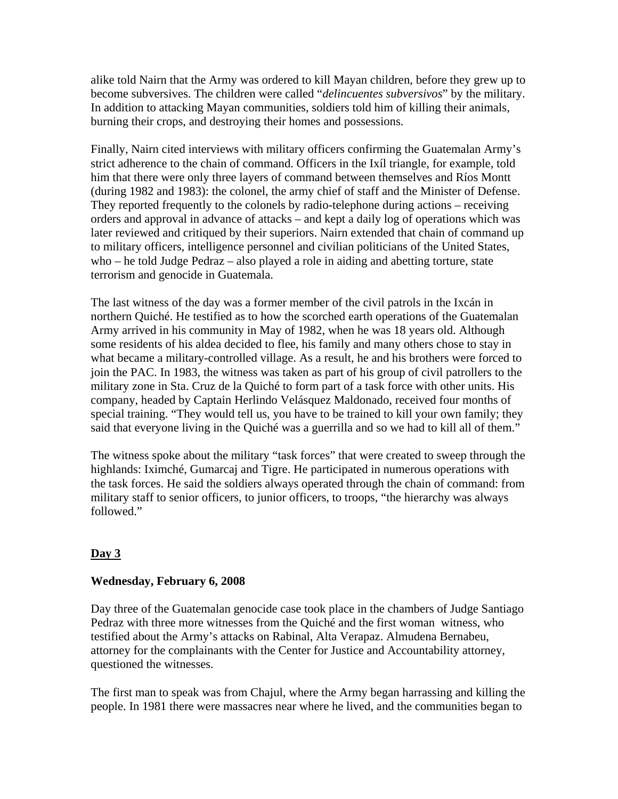alike told Nairn that the Army was ordered to kill Mayan children, before they grew up to become subversives. The children were called "*delincuentes subversivos*" by the military. In addition to attacking Mayan communities, soldiers told him of killing their animals, burning their crops, and destroying their homes and possessions.

Finally, Nairn cited interviews with military officers confirming the Guatemalan Army's strict adherence to the chain of command. Officers in the Ixíl triangle, for example, told him that there were only three layers of command between themselves and Ríos Montt (during 1982 and 1983): the colonel, the army chief of staff and the Minister of Defense. They reported frequently to the colonels by radio-telephone during actions – receiving orders and approval in advance of attacks – and kept a daily log of operations which was later reviewed and critiqued by their superiors. Nairn extended that chain of command up to military officers, intelligence personnel and civilian politicians of the United States, who – he told Judge Pedraz – also played a role in aiding and abetting torture, state terrorism and genocide in Guatemala.

The last witness of the day was a former member of the civil patrols in the Ixcán in northern Quiché. He testified as to how the scorched earth operations of the Guatemalan Army arrived in his community in May of 1982, when he was 18 years old. Although some residents of his aldea decided to flee, his family and many others chose to stay in what became a military-controlled village. As a result, he and his brothers were forced to join the PAC. In 1983, the witness was taken as part of his group of civil patrollers to the military zone in Sta. Cruz de la Quiché to form part of a task force with other units. His company, headed by Captain Herlindo Velásquez Maldonado, received four months of special training. "They would tell us, you have to be trained to kill your own family; they said that everyone living in the Quiché was a guerrilla and so we had to kill all of them."

The witness spoke about the military "task forces" that were created to sweep through the highlands: Iximché, Gumarcaj and Tigre. He participated in numerous operations with the task forces. He said the soldiers always operated through the chain of command: from military staff to senior officers, to junior officers, to troops, "the hierarchy was always followed."

## **Day 3**

## **Wednesday, February 6, 2008**

Day three of the Guatemalan genocide case took place in the chambers of Judge Santiago Pedraz with three more witnesses from the Quiché and the first woman witness, who testified about the Army's attacks on Rabinal, Alta Verapaz. Almudena Bernabeu, attorney for the complainants with the Center for Justice and Accountability attorney, questioned the witnesses.

The first man to speak was from Chajul, where the Army began harrassing and killing the people. In 1981 there were massacres near where he lived, and the communities began to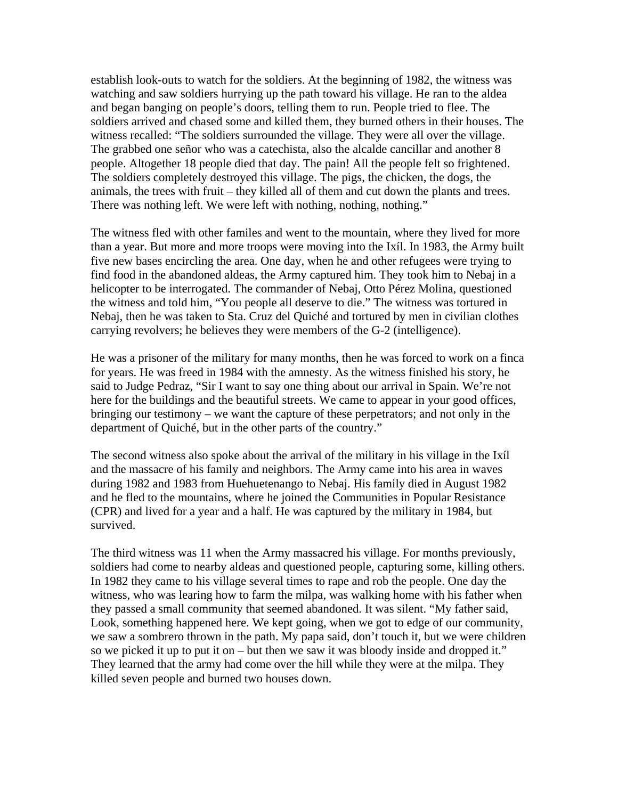establish look-outs to watch for the soldiers. At the beginning of 1982, the witness was watching and saw soldiers hurrying up the path toward his village. He ran to the aldea and began banging on people's doors, telling them to run. People tried to flee. The soldiers arrived and chased some and killed them, they burned others in their houses. The witness recalled: "The soldiers surrounded the village. They were all over the village. The grabbed one señor who was a catechista, also the alcalde cancillar and another 8 people. Altogether 18 people died that day. The pain! All the people felt so frightened. The soldiers completely destroyed this village. The pigs, the chicken, the dogs, the animals, the trees with fruit – they killed all of them and cut down the plants and trees. There was nothing left. We were left with nothing, nothing, nothing."

The witness fled with other familes and went to the mountain, where they lived for more than a year. But more and more troops were moving into the Ixíl. In 1983, the Army built five new bases encircling the area. One day, when he and other refugees were trying to find food in the abandoned aldeas, the Army captured him. They took him to Nebaj in a helicopter to be interrogated. The commander of Nebaj, Otto Pérez Molina, questioned the witness and told him, "You people all deserve to die." The witness was tortured in Nebaj, then he was taken to Sta. Cruz del Quiché and tortured by men in civilian clothes carrying revolvers; he believes they were members of the G-2 (intelligence).

He was a prisoner of the military for many months, then he was forced to work on a finca for years. He was freed in 1984 with the amnesty. As the witness finished his story, he said to Judge Pedraz, "Sir I want to say one thing about our arrival in Spain. We're not here for the buildings and the beautiful streets. We came to appear in your good offices, bringing our testimony – we want the capture of these perpetrators; and not only in the department of Quiché, but in the other parts of the country."

The second witness also spoke about the arrival of the military in his village in the Ixíl and the massacre of his family and neighbors. The Army came into his area in waves during 1982 and 1983 from Huehuetenango to Nebaj. His family died in August 1982 and he fled to the mountains, where he joined the Communities in Popular Resistance (CPR) and lived for a year and a half. He was captured by the military in 1984, but survived.

The third witness was 11 when the Army massacred his village. For months previously, soldiers had come to nearby aldeas and questioned people, capturing some, killing others. In 1982 they came to his village several times to rape and rob the people. One day the witness, who was learing how to farm the milpa, was walking home with his father when they passed a small community that seemed abandoned. It was silent. "My father said, Look, something happened here. We kept going, when we got to edge of our community, we saw a sombrero thrown in the path. My papa said, don't touch it, but we were children so we picked it up to put it on – but then we saw it was bloody inside and dropped it." They learned that the army had come over the hill while they were at the milpa. They killed seven people and burned two houses down.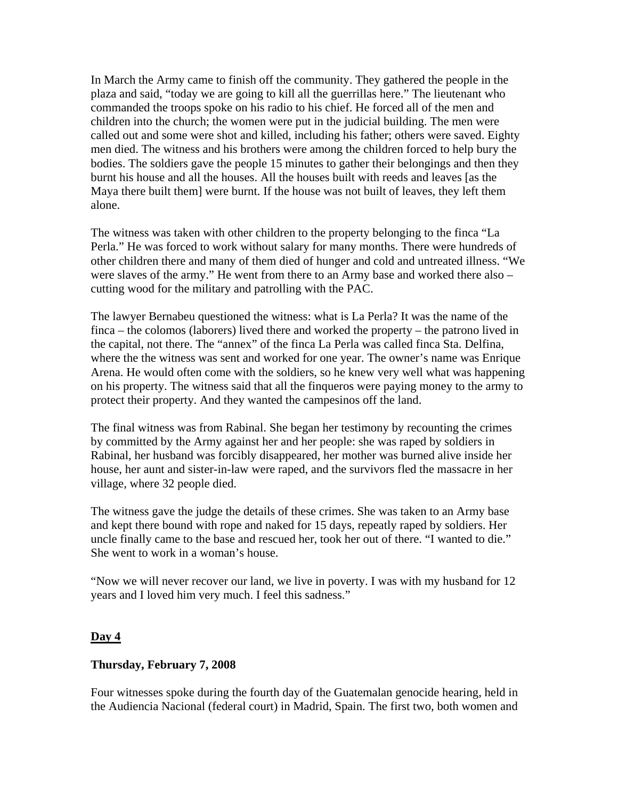In March the Army came to finish off the community. They gathered the people in the plaza and said, "today we are going to kill all the guerrillas here." The lieutenant who commanded the troops spoke on his radio to his chief. He forced all of the men and children into the church; the women were put in the judicial building. The men were called out and some were shot and killed, including his father; others were saved. Eighty men died. The witness and his brothers were among the children forced to help bury the bodies. The soldiers gave the people 15 minutes to gather their belongings and then they burnt his house and all the houses. All the houses built with reeds and leaves [as the Maya there built them] were burnt. If the house was not built of leaves, they left them alone.

The witness was taken with other children to the property belonging to the finca "La Perla." He was forced to work without salary for many months. There were hundreds of other children there and many of them died of hunger and cold and untreated illness. "We were slaves of the army." He went from there to an Army base and worked there also – cutting wood for the military and patrolling with the PAC.

The lawyer Bernabeu questioned the witness: what is La Perla? It was the name of the finca – the colomos (laborers) lived there and worked the property – the patrono lived in the capital, not there. The "annex" of the finca La Perla was called finca Sta. Delfina, where the the witness was sent and worked for one year. The owner's name was Enrique Arena. He would often come with the soldiers, so he knew very well what was happening on his property. The witness said that all the finqueros were paying money to the army to protect their property. And they wanted the campesinos off the land.

The final witness was from Rabinal. She began her testimony by recounting the crimes by committed by the Army against her and her people: she was raped by soldiers in Rabinal, her husband was forcibly disappeared, her mother was burned alive inside her house, her aunt and sister-in-law were raped, and the survivors fled the massacre in her village, where 32 people died.

The witness gave the judge the details of these crimes. She was taken to an Army base and kept there bound with rope and naked for 15 days, repeatly raped by soldiers. Her uncle finally came to the base and rescued her, took her out of there. "I wanted to die." She went to work in a woman's house.

"Now we will never recover our land, we live in poverty. I was with my husband for 12 years and I loved him very much. I feel this sadness."

#### **Day 4**

#### **Thursday, February 7, 2008**

Four witnesses spoke during the fourth day of the Guatemalan genocide hearing, held in the Audiencia Nacional (federal court) in Madrid, Spain. The first two, both women and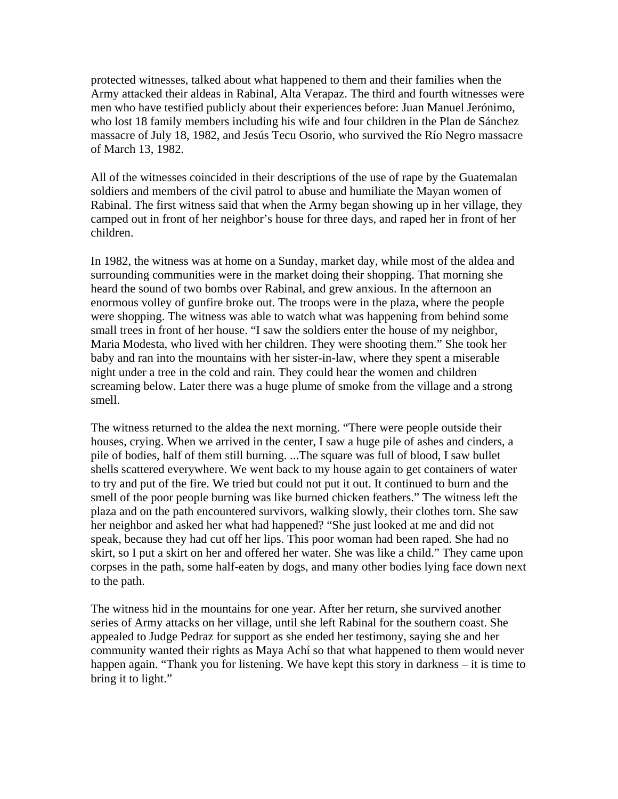protected witnesses, talked about what happened to them and their families when the Army attacked their aldeas in Rabinal, Alta Verapaz. The third and fourth witnesses were men who have testified publicly about their experiences before: Juan Manuel Jerónimo, who lost 18 family members including his wife and four children in the Plan de Sánchez massacre of July 18, 1982, and Jesús Tecu Osorio, who survived the Río Negro massacre of March 13, 1982.

All of the witnesses coincided in their descriptions of the use of rape by the Guatemalan soldiers and members of the civil patrol to abuse and humiliate the Mayan women of Rabinal. The first witness said that when the Army began showing up in her village, they camped out in front of her neighbor's house for three days, and raped her in front of her children.

In 1982, the witness was at home on a Sunday, market day, while most of the aldea and surrounding communities were in the market doing their shopping. That morning she heard the sound of two bombs over Rabinal, and grew anxious. In the afternoon an enormous volley of gunfire broke out. The troops were in the plaza, where the people were shopping. The witness was able to watch what was happening from behind some small trees in front of her house. "I saw the soldiers enter the house of my neighbor, Maria Modesta, who lived with her children. They were shooting them." She took her baby and ran into the mountains with her sister-in-law, where they spent a miserable night under a tree in the cold and rain. They could hear the women and children screaming below. Later there was a huge plume of smoke from the village and a strong smell.

The witness returned to the aldea the next morning. "There were people outside their houses, crying. When we arrived in the center, I saw a huge pile of ashes and cinders, a pile of bodies, half of them still burning. ...The square was full of blood, I saw bullet shells scattered everywhere. We went back to my house again to get containers of water to try and put of the fire. We tried but could not put it out. It continued to burn and the smell of the poor people burning was like burned chicken feathers." The witness left the plaza and on the path encountered survivors, walking slowly, their clothes torn. She saw her neighbor and asked her what had happened? "She just looked at me and did not speak, because they had cut off her lips. This poor woman had been raped. She had no skirt, so I put a skirt on her and offered her water. She was like a child." They came upon corpses in the path, some half-eaten by dogs, and many other bodies lying face down next to the path.

The witness hid in the mountains for one year. After her return, she survived another series of Army attacks on her village, until she left Rabinal for the southern coast. She appealed to Judge Pedraz for support as she ended her testimony, saying she and her community wanted their rights as Maya Achí so that what happened to them would never happen again. "Thank you for listening. We have kept this story in darkness – it is time to bring it to light."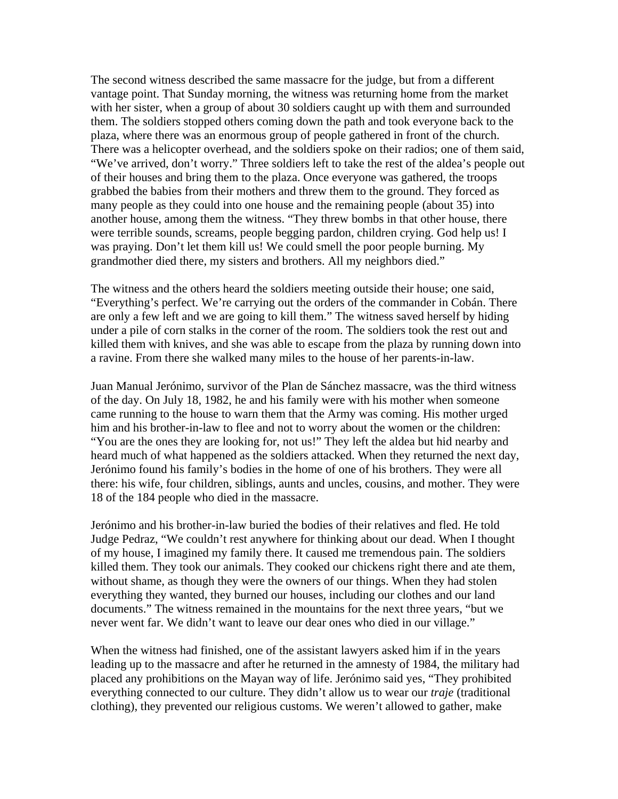The second witness described the same massacre for the judge, but from a different vantage point. That Sunday morning, the witness was returning home from the market with her sister, when a group of about 30 soldiers caught up with them and surrounded them. The soldiers stopped others coming down the path and took everyone back to the plaza, where there was an enormous group of people gathered in front of the church. There was a helicopter overhead, and the soldiers spoke on their radios; one of them said, "We've arrived, don't worry." Three soldiers left to take the rest of the aldea's people out of their houses and bring them to the plaza. Once everyone was gathered, the troops grabbed the babies from their mothers and threw them to the ground. They forced as many people as they could into one house and the remaining people (about 35) into another house, among them the witness. "They threw bombs in that other house, there were terrible sounds, screams, people begging pardon, children crying. God help us! I was praying. Don't let them kill us! We could smell the poor people burning. My grandmother died there, my sisters and brothers. All my neighbors died."

The witness and the others heard the soldiers meeting outside their house; one said, "Everything's perfect. We're carrying out the orders of the commander in Cobán. There are only a few left and we are going to kill them." The witness saved herself by hiding under a pile of corn stalks in the corner of the room. The soldiers took the rest out and killed them with knives, and she was able to escape from the plaza by running down into a ravine. From there she walked many miles to the house of her parents-in-law.

Juan Manual Jerónimo, survivor of the Plan de Sánchez massacre, was the third witness of the day. On July 18, 1982, he and his family were with his mother when someone came running to the house to warn them that the Army was coming. His mother urged him and his brother-in-law to flee and not to worry about the women or the children: "You are the ones they are looking for, not us!" They left the aldea but hid nearby and heard much of what happened as the soldiers attacked. When they returned the next day, Jerónimo found his family's bodies in the home of one of his brothers. They were all there: his wife, four children, siblings, aunts and uncles, cousins, and mother. They were 18 of the 184 people who died in the massacre.

Jerónimo and his brother-in-law buried the bodies of their relatives and fled. He told Judge Pedraz, "We couldn't rest anywhere for thinking about our dead. When I thought of my house, I imagined my family there. It caused me tremendous pain. The soldiers killed them. They took our animals. They cooked our chickens right there and ate them, without shame, as though they were the owners of our things. When they had stolen everything they wanted, they burned our houses, including our clothes and our land documents." The witness remained in the mountains for the next three years, "but we never went far. We didn't want to leave our dear ones who died in our village."

When the witness had finished, one of the assistant lawyers asked him if in the years leading up to the massacre and after he returned in the amnesty of 1984, the military had placed any prohibitions on the Mayan way of life. Jerónimo said yes, "They prohibited everything connected to our culture. They didn't allow us to wear our *traje* (traditional clothing), they prevented our religious customs. We weren't allowed to gather, make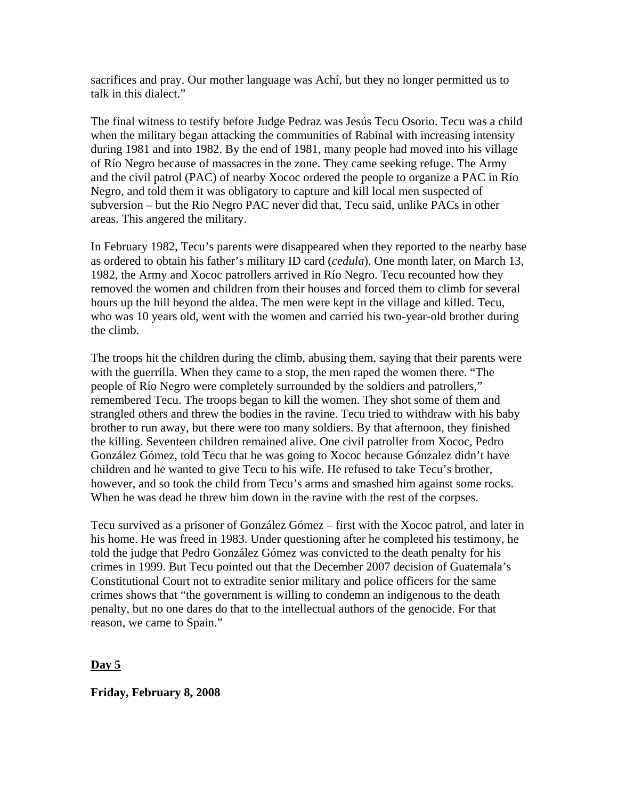sacrifices and pray. Our mother language was Achí, but they no longer permitted us to talk in this dialect."

The final witness to testify before Judge Pedraz was Jesús Tecu Osorio. Tecu was a child when the military began attacking the communities of Rabinal with increasing intensity during 1981 and into 1982. By the end of 1981, many people had moved into his village of Río Negro because of massacres in the zone. They came seeking refuge. The Army and the civil patrol (PAC) of nearby Xococ ordered the people to organize a PAC in Río Negro, and told them it was obligatory to capture and kill local men suspected of subversion – but the Rio Negro PAC never did that, Tecu said, unlike PACs in other areas. This angered the military.

In February 1982, Tecu's parents were disappeared when they reported to the nearby base as ordered to obtain his father's military ID card (*cedula*). One month later, on March 13, 1982, the Army and Xococ patrollers arrived in Río Negro. Tecu recounted how they removed the women and children from their houses and forced them to climb for several hours up the hill beyond the aldea. The men were kept in the village and killed. Tecu, who was 10 years old, went with the women and carried his two-year-old brother during the climb.

The troops hit the children during the climb, abusing them, saying that their parents were with the guerrilla. When they came to a stop, the men raped the women there. "The people of Río Negro were completely surrounded by the soldiers and patrollers," remembered Tecu. The troops began to kill the women. They shot some of them and strangled others and threw the bodies in the ravine. Tecu tried to withdraw with his baby brother to run away, but there were too many soldiers. By that afternoon, they finished the killing. Seventeen children remained alive. One civil patroller from Xococ, Pedro González Gómez, told Tecu that he was going to Xococ because Gónzalez didn't have children and he wanted to give Tecu to his wife. He refused to take Tecu's brother, however, and so took the child from Tecu's arms and smashed him against some rocks. When he was dead he threw him down in the ravine with the rest of the corpses.

Tecu survived as a prisoner of González Gómez – first with the Xococ patrol, and later in his home. He was freed in 1983. Under questioning after he completed his testimony, he told the judge that Pedro González Gómez was convicted to the death penalty for his crimes in 1999. But Tecu pointed out that the December 2007 decision of Guatemala's Constitutional Court not to extradite senior military and police officers for the same crimes shows that "the government is willing to condemn an indigenous to the death penalty, but no one dares do that to the intellectual authors of the genocide. For that reason, we came to Spain."

### **Day 5**

**Friday, February 8, 2008**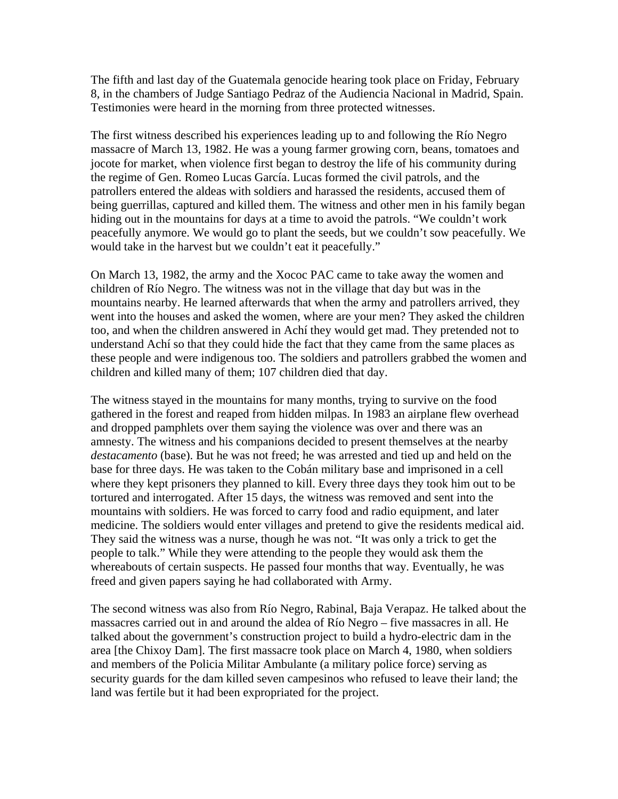The fifth and last day of the Guatemala genocide hearing took place on Friday, February 8, in the chambers of Judge Santiago Pedraz of the Audiencia Nacional in Madrid, Spain. Testimonies were heard in the morning from three protected witnesses.

The first witness described his experiences leading up to and following the Río Negro massacre of March 13, 1982. He was a young farmer growing corn, beans, tomatoes and jocote for market, when violence first began to destroy the life of his community during the regime of Gen. Romeo Lucas García. Lucas formed the civil patrols, and the patrollers entered the aldeas with soldiers and harassed the residents, accused them of being guerrillas, captured and killed them. The witness and other men in his family began hiding out in the mountains for days at a time to avoid the patrols. "We couldn't work peacefully anymore. We would go to plant the seeds, but we couldn't sow peacefully. We would take in the harvest but we couldn't eat it peacefully."

On March 13, 1982, the army and the Xococ PAC came to take away the women and children of Río Negro. The witness was not in the village that day but was in the mountains nearby. He learned afterwards that when the army and patrollers arrived, they went into the houses and asked the women, where are your men? They asked the children too, and when the children answered in Achí they would get mad. They pretended not to understand Achí so that they could hide the fact that they came from the same places as these people and were indigenous too. The soldiers and patrollers grabbed the women and children and killed many of them; 107 children died that day.

The witness stayed in the mountains for many months, trying to survive on the food gathered in the forest and reaped from hidden milpas. In 1983 an airplane flew overhead and dropped pamphlets over them saying the violence was over and there was an amnesty. The witness and his companions decided to present themselves at the nearby *destacamento* (base). But he was not freed; he was arrested and tied up and held on the base for three days. He was taken to the Cobán military base and imprisoned in a cell where they kept prisoners they planned to kill. Every three days they took him out to be tortured and interrogated. After 15 days, the witness was removed and sent into the mountains with soldiers. He was forced to carry food and radio equipment, and later medicine. The soldiers would enter villages and pretend to give the residents medical aid. They said the witness was a nurse, though he was not. "It was only a trick to get the people to talk." While they were attending to the people they would ask them the whereabouts of certain suspects. He passed four months that way. Eventually, he was freed and given papers saying he had collaborated with Army.

The second witness was also from Río Negro, Rabinal, Baja Verapaz. He talked about the massacres carried out in and around the aldea of Río Negro – five massacres in all. He talked about the government's construction project to build a hydro-electric dam in the area [the Chixoy Dam]. The first massacre took place on March 4, 1980, when soldiers and members of the Policia Militar Ambulante (a military police force) serving as security guards for the dam killed seven campesinos who refused to leave their land; the land was fertile but it had been expropriated for the project.